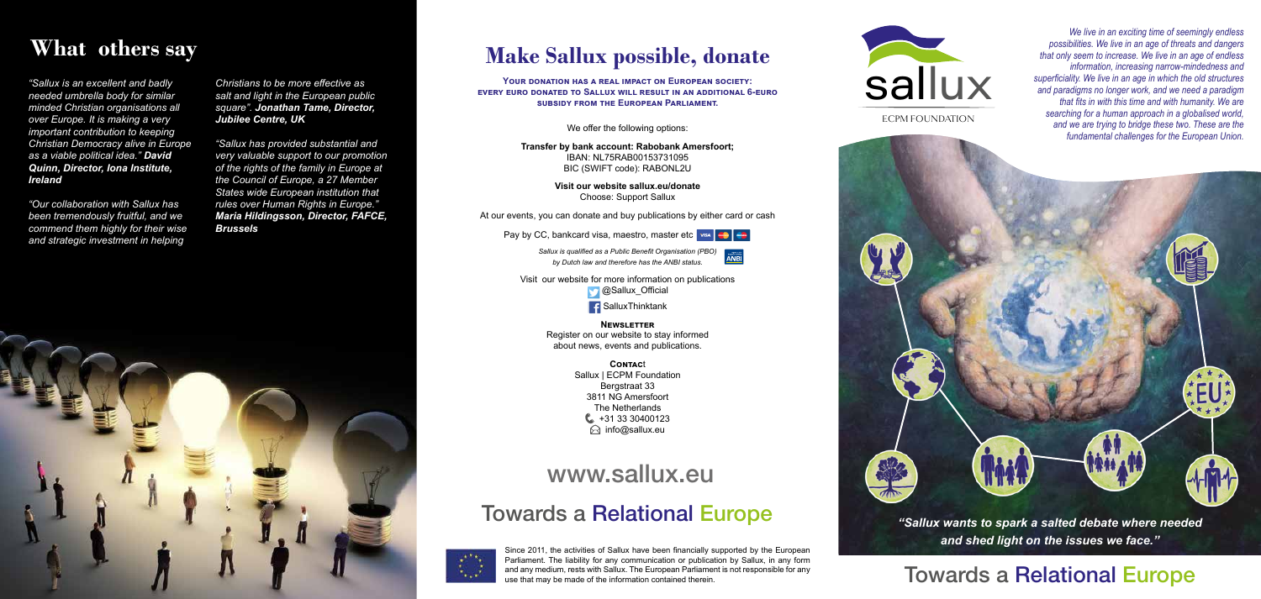#### Towards a Relational Europe

### Towards a Relational Europe *"Sallux wants to spark a salted debate where needed*



*and shed light on the issues we face."*

ECPM FOUNDATION



*We live in an exciting time of seemingly endless possibilities. We live in an age of threats and dangers that only seem to increase. We live in an age of endless information, increasing narrow-mindedness and superficiality. We live in an age in which the old structures and paradigms no longer work, and we need a paradigm that fits in with this time and with humanity. We are searching for a human approach in a globalised world, and we are trying to bridge these two. These are the fundamental challenges for the European Union.*

**AFUA** 

YOUR DONATION HAS A REAL IMPACT ON EUROPEAN SOCIETY: **every euro donated to Sallux will result in an additional 6-euro subsidy from the European Parliament.** 

> Visit our website for more information on publications **C**Sallux\_Official **SalluxThinktank**

### **Make Sallux possible, donate**

**Contac**t Sallux | ECPM Foundation Bergstraat 33 3811 NG Amersfoort The Netherlands  $\bullet$  +31 33 30400123  $\odot$  info@sallux.eu

We offer the following options:

**Transfer by bank account: Rabobank Amersfoort;** IBAN: NL75RAB00153731095 BIC (SWIFT code): RABONL2U

> **Visit our website sallux.eu/donate** Choose: Support Sallux

At our events, you can donate and buy publications by either card or cash

Pay by CC, bankcard visa, maestro, master etc wise

*Sallux is qualified as a Public Benefit Organisation (PBO) by Dutch law and therefore has the ANBI status.*



**Newsletter** Register on our website to stay informed about news, events and publications.

# **What others say**

*"Sallux is an excellent and badly needed umbrella body for similar minded Christian organisations all over Europe. It is making a very important contribution to keeping Christian Democracy alive in Europe as a viable political idea." David Quinn, Director, Iona Institute, Ireland*

*"Our collaboration with Sallux has been tremendously fruitful, and we commend them highly for their wise and strategic investment in helping* 

*Christians to be more effective as salt and light in the European public square". Jonathan Tame, Director, Jubilee Centre, UK*

*"Sallux has provided substantial and very valuable support to our promotion of the rights of the family in Europe at the Council of Europe, a 27 Member States wide European institution that rules over Human Rights in Europe." Maria Hildingsson, Director, FAFCE, Brussels*



Since 2011, the activities of Sallux have been financially supported by the European Parliament. The liability for any communication or publication by Sallux, in any form and any medium, rests with Sallux. The European Parliament is not responsible for any use that may be made of the information contained therein.

# www.sallux.eu